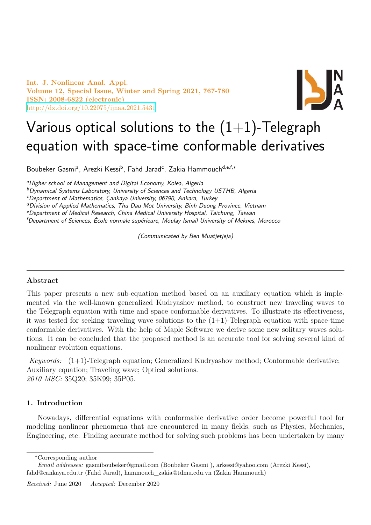**Int. J. Nonlinear Anal. Appl. Volume 12, Special Issue, Winter and Spring 2021, 767-780 ISSN: 2008-6822 (electronic)** http://dx.doi.org/10.22075/ijnaa.2021.5431



# Various optical solutions to the  $(1+1)$ -Telegraph [equation with space-t](http://dx.doi.org/10.22075/ijnaa.2021.5431)ime conformable derivatives

Boubeker Gasmi<sup>a</sup>, Arezki Kessi<sup>b</sup>, Fahd Jarad<sup>c</sup>, Zakia Hammouch<sup>d,e,f,</sup>\*

*<sup>a</sup>Higher school of Management and Digital Economy, Kolea, Algeria*

*<sup>b</sup>Dynamical Systems Laboratory, University of Sciences and Technology USTHB, Algeria*

*<sup>c</sup>Department of Mathematics, Çankaya University, 06790, Ankara, Turkey*

*<sup>d</sup>Division of Applied Mathematics, Thu Dau Mot University, Binh Duong Province, Vietnam*

*<sup>e</sup>Department of Medical Research, China Medical University Hospital, Taichung, Taiwan*

*<sup>f</sup>Department of Sciences, École normale supérieure, Moulay Ismail University of Meknes, Morocco*

*(Communicated by Ben Muatjetjeja)*

# **Abstract**

This paper presents a new sub-equation method based on an auxiliary equation which is implemented via the well-known generalized Kudryashov method, to construct new traveling waves to the Telegraph equation with time and space conformable derivatives. To illustrate its effectiveness, it was tested for seeking traveling wave solutions to the  $(1+1)$ -Telegraph equation with space-time conformable derivatives. With the help of Maple Software we derive some new solitary waves solutions. It can be concluded that the proposed method is an accurate tool for solving several kind of nonlinear evolution equations.

*Keywords:* (1+1)-Telegraph equation; Generalized Kudryashov method; Conformable derivative; Auxiliary equation; Traveling wave; Optical solutions. *2010 MSC:* 35Q20; 35K99; 35P05.

# **1. Introduction**

Nowadays, differential equations with conformable derivative order become powerful tool for modeling nonlinear phenomena that are encountered in many fields, such as Physics, Mechanics, Engineering, etc. Finding accurate method for solving such problems has been undertaken by many

*<sup>∗</sup>*Corresponding author

*Email addresses:* gasmiboubeker@gmail.com (Boubeker Gasmi ), arkessi@yahoo.com (Arezki Kessi), fahd@cankaya.edu.tr (Fahd Jarad), hammouch\_zakia@tdmu.edu.vn (Zakia Hammouch)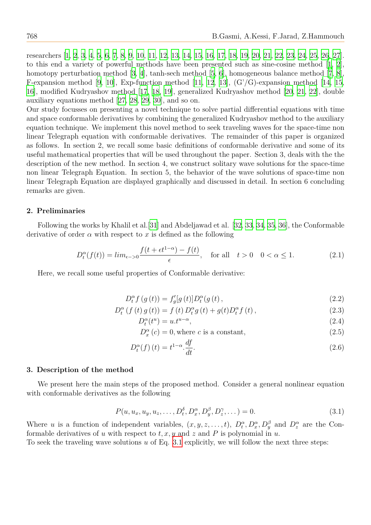researchers [1, 2, 3, 4, 5, 6, 7, 8, 9, 10, 11, 12, 13, 14, 15, 16, 17, 18, 19, 20, 21, 22, 23, 24, 25, 26, 27]. to this end a variety of powerful methods have been presented such as sine-cosine method [1, 2], homotopy perturbation method [3, 4], tanh-sech method [5, 6], homogeneous balance method [7, 8], F-expansion [m](#page-11-0)[e](#page-11-1)t[ho](#page-11-2)[d](#page-11-3) [\[9](#page-11-4), [1](#page-11-5)[0\],](#page-11-6) [E](#page-11-7)[xp](#page-12-0)-[fun](#page-12-1)[ctio](#page-12-2)[n m](#page-12-3)[eth](#page-12-4)[od](#page-12-16)[[11,](#page-12-6) [12](#page-12-7), [13](#page-12-8)],  $(G'/G)$  $(G'/G)$  $(G'/G)$ -e[xpa](#page-12-12)[nsio](#page-12-13)[n](#page-12-14) [meth](#page-12-15)od [\[14](#page-12-17), [15](#page-12-18), 16], modified Kudryashov method [17, 18, 19], generalized Kudryashov method [20, 21, 22], d[ou](#page-11-0)[bl](#page-11-1)e auxiliary equations method [27, [28](#page-11-2), 29, 30], and so on.

Our study focusses o[n p](#page-12-0)[rese](#page-12-1)nting a [n](#page-11-3)ovel technique [to](#page-12-2) s[olv](#page-12-3)[e](#page-11-4) [pa](#page-12-4)rtial differential equations wi[th](#page-12-5) [t](#page-11-6)i[me](#page-12-6) [an](#page-12-7)d space conformable derivatives b[y c](#page-12-8)[omb](#page-12-9)[inin](#page-12-10)g the generalized Kudryashov met[hod](#page-12-11) [to t](#page-12-12)[he a](#page-12-13)uxiliary equation technique. We impl[em](#page-12-18)[ent](#page-12-19) [this](#page-12-20) [no](#page-12-21)vel method to seek traveling waves for the space-time non linear Telegraph equation with conformable derivatives. The remainder of this paper is organized as follows. In section 2, we recall some basic definitions of conformable derivative and some of its useful mathematical properties that will be used throughout the paper. Section 3, deals with the the description of the new method. In section 4, we construct solitary wave solutions for the space-time non linear Telegraph Equation. In section 5, the behavior of the wave solutions of space-time non linear Telegraph Equation are displayed graphically and discussed in detail. In section 6 concluding remarks are given.

# **2. Preliminaries**

Following the works by Khalil et al.[31] and Abdeljawad et al. [32, 33, 34, 35, 36], the Conformable derivative of order  $\alpha$  with respect to  $x$  is defined as the following

$$
D_t^{\alpha}(f(t)) = \lim_{\epsilon \to 0} \frac{f(t + \epsilon t^{1-\alpha}) - f(t)}{\epsilon}, \quad \text{for all} \quad t > 0 \quad 0 < \alpha \le 1. \tag{2.1}
$$

Here, we recall some useful properties of Conformable derivative:

$$
D_t^{\alpha} f(g(t)) = f'_g[g(t)] D_t^{\alpha}(g(t)),
$$
\n(2.2)

$$
D_{t}^{\alpha} (f (t) g (t)) = f (t) D_{t}^{\alpha} g (t) + g(t) D_{t}^{\alpha} f (t), \qquad (2.3)
$$

$$
D_t^{\alpha}(t^u) = u \cdot t^{u-\alpha},\tag{2.4}
$$

$$
D_x^{\alpha}(c) = 0, \text{where } c \text{ is a constant}, \qquad (2.5)
$$

$$
D_t^{\alpha}(f)(t) = t^{1-\alpha} \frac{df}{dt}.
$$
\n(2.6)

## **3. Description of the method**

We present here the main steps of the proposed method. Consider a general nonlinear equation with conformable derivatives as the following

$$
P(u, u_x, u_y, u_z, \dots, D_t^{\delta}, D_x^{\alpha}, D_y^{\beta}, D_z^{\gamma}, \dots) = 0.
$$
\n(3.1)

Where *u* is a function of independent variables,  $(x, y, z, \ldots, t)$ ,  $D_t^{\alpha}, D_x^{\alpha}, D_y^{\beta}$  and  $D_z^{\alpha}$  are the Conformable derivatives of *u* with respect to *t, x, y* and *z* and *P* is polynomial in *u*.

To seek the traveling wave solutions *u* of Eq. 3.1 explicitly, we will follow the next three steps: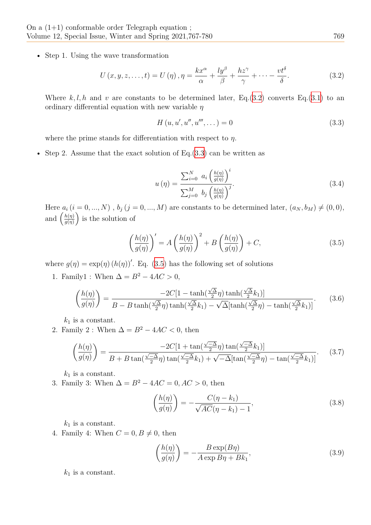• Step 1. Using the wave transformation

$$
U(x, y, z, \dots, t) = U(\eta), \eta = \frac{kx^{\alpha}}{\alpha} + \frac{ly^{\beta}}{\beta} + \frac{hz^{\gamma}}{\gamma} + \dots - \frac{vt^{\delta}}{\delta}.
$$
 (3.2)

Where  $k, l, h$  and  $v$  are constants to be determined later, Eq.(3.2) converts Eq.(3.1) to an ordinary differential equation with new variable *η*

<span id="page-2-0"></span>
$$
H(u, u', u'', u''', \dots) = 0
$$
\n(3.3)

where the prime stands for differentiation with respect to *η*.

• Step 2. Assume that the exact solution of  $Eq.(3.3)$  can be written as

$$
u(\eta) = \frac{\sum_{i=0}^{N} a_i \left(\frac{h(\eta)}{g(\eta)}\right)^i}{\sum_{j=0}^{M} b_j \left(\frac{h(\eta)}{g(\eta)}\right)^j}.
$$
\n(3.4)

<span id="page-2-2"></span>Here  $a_i$  ( $i = 0, ..., N$ ),  $b_j$  ( $j = 0, ..., M$ ) are constants to be determined later,  $(a_N, b_M) \neq (0, 0)$ , and  $\left(\frac{h(\eta)}{a(\eta)}\right)$  $\frac{h(\eta)}{g(\eta)}$  is the solution of

<span id="page-2-1"></span>
$$
\left(\frac{h(\eta)}{g(\eta)}\right)' = A\left(\frac{h(\eta)}{g(\eta)}\right)^2 + B\left(\frac{h(\eta)}{g(\eta)}\right) + C,\tag{3.5}
$$

where  $g(\eta) = \exp(\eta) (h(\eta))'$ . Eq. (3.5) has the following set of solutions

1. Family1 : When  $\Delta = B^2 - 4AC > 0$ ,

$$
\left(\frac{h(\eta)}{g(\eta)}\right) = \frac{-2C[1 - \tanh(\frac{\sqrt{\Delta}}{2}\eta)\tanh(\frac{\sqrt{\Delta}}{2}k_1)]}{B - B\tanh(\frac{\sqrt{\Delta}}{2}\eta)\tanh(\frac{\sqrt{\Delta}}{2}k_1) - \sqrt{\Delta}[\tanh(\frac{\sqrt{\Delta}}{2}\eta) - \tanh(\frac{\sqrt{\Delta}}{2}k_1)]}.
$$
(3.6)

 $k_1$  is a constant.

2. Family 2 : When  $\Delta = B^2 - 4AC < 0$ , then

$$
\left(\frac{h(\eta)}{g(\eta)}\right) = \frac{-2C\left[1 + \tan\left(\frac{\sqrt{-\Delta}}{2}\eta\right)\tan\left(\frac{\sqrt{-\Delta}}{2}k_1\right)\right]}{B + B\tan\left(\frac{\sqrt{-\Delta}}{2}\eta\right)\tan\left(\frac{\sqrt{-\Delta}}{2}k_1\right) + \sqrt{-\Delta}[\tan\left(\frac{\sqrt{-\Delta}}{2}\eta\right) - \tan\left(\frac{\sqrt{-\Delta}}{2}k_1\right)]}.\tag{3.7}
$$

 $k_1$  is a constant.

3. Family 3: When  $\Delta = B^2 - 4AC = 0, AC > 0$ , then

$$
\left(\frac{h(\eta)}{g(\eta)}\right) = -\frac{C(\eta - k_1)}{\sqrt{AC}(\eta - k_1) - 1},\tag{3.8}
$$

 $k_1$  is a constant.

4. Family 4: When  $C = 0, B \neq 0$ , then

$$
\left(\frac{h(\eta)}{g(\eta)}\right) = -\frac{B \exp(B\eta)}{A \exp B\eta + Bk_1},\tag{3.9}
$$

 $k_1$  is a constant.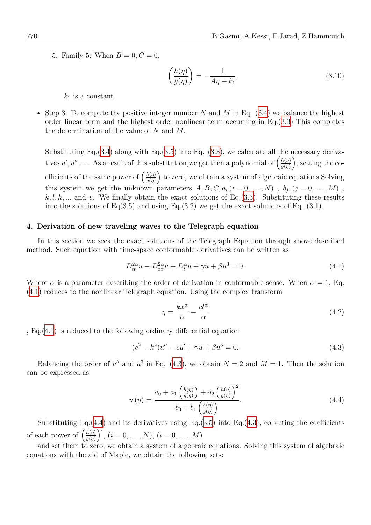5. Family 5: When  $B = 0, C = 0$ ,

$$
\left(\frac{h(\eta)}{g(\eta)}\right) = -\frac{1}{A\eta + k_1},\tag{3.10}
$$

 $k_1$  is a constant.

• Step 3: To compute the positive integer number *N* and *M* in Eq. (3.4) we balance the highest order linear term and the highest order nonlinear term occurring in Eq.(3.3) This completes the determination of the value of *N* and *M*.

Substituting Eq.  $(3.4)$  along with Eq.  $(3.5)$  into Eq.  $(3.3)$ , we calcul[ate](#page-2-2) all t[he](#page-2-0) necessary derivatives  $u', u'', \ldots$  As a result of this substitution, we get then a polynomial of  $\left(\frac{h(\eta)}{a(n)}\right)$  $\frac{h(\eta)}{g(\eta)}\Big)$ , setting the coefficients of the s[ame](#page-2-2) power of  $\left(\frac{h(\eta)}{g(n)}\right)$  $\frac{h(\eta)}{g(\eta)}$  [to z](#page-2-1)ero, we obt[ain](#page-2-0) a system of algebraic equations. Solving this system we get the unknown parameters  $A, B, C, a_i$  ( $i = 0, \ldots, N$ ),  $b_j$ , ( $j = 0, \ldots, M$ ),  $k, l, h, \ldots$  and *v*. We finally obtain the exact solutions of Eq. (3.3). Substituting these results into the solutions of Eq(3.5) and using Eq.(3.2) we get the exact solutions of Eq. (3.1).

## **4. Derivation of new traveling waves to the Telegraph equ[atio](#page-2-0)n**

In this section we seek the exact solutions of the Telegraph Equation through above described method. Such equation with time-space conformable derivatives can be written as

$$
D_{tt}^{2\alpha}u - D_{xx}^{2\alpha}u + D_t^{\alpha}u + \gamma u + \beta u^3 = 0.
$$
 (4.1)

Where  $\alpha$  is a parameter describing the order of derivation in conformable sense. When  $\alpha = 1$ , Eq. (4.1) reduces to the nonlinear Telegraph equation. Using the complex transform

<span id="page-3-1"></span><span id="page-3-0"></span>
$$
\eta = \frac{kx^{\alpha}}{\alpha} - \frac{ct^{\alpha}}{\alpha} \tag{4.2}
$$

, [Eq](#page-3-0).(4.1) is reduced to the following ordinary differential equation

$$
(c2 - k2)u'' - cu' + \gamma u + \beta u3 = 0.
$$
 (4.3)

B[alan](#page-3-0)cing the order of  $u''$  and  $u^3$  in Eq. (4.3), we obtain  $N = 2$  and  $M = 1$ . Then the solution can be expressed as

$$
u(\eta) = \frac{a_0 + a_1 \left(\frac{h(\eta)}{g(\eta)}\right) + a_2 \left(\frac{h(\eta)}{g(\eta)}\right)^2}{b_0 + b_1 \left(\frac{h(\eta)}{g(\eta)}\right)}.
$$
\n(4.4)

<span id="page-3-2"></span>Substituting Eq. $(4.4)$  and its derivatives using Eq. $(3.5)$  into Eq. $(4.3)$ , collecting the coefficients of each power of  $\left(\frac{h(\eta)}{q(n)}\right)$  $\frac{h(\eta)}{g(\eta)}\right)^i$ ,  $(i = 0, \ldots, N)$ ,  $(i = 0, \ldots, M)$ ,

and set them to zero, we obtain a system of algebraic equations. [Solv](#page-3-1)ing this system of algebraic equations with the a[id o](#page-3-2)f Maple, we obtain the followi[ng s](#page-2-1)ets: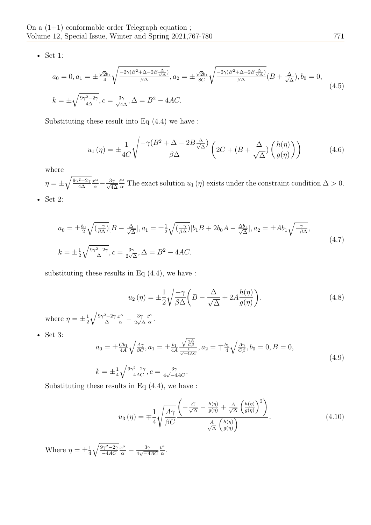• Set 1:

$$
a_0 = 0, a_1 = \pm \frac{\sqrt{2}b_1}{4} \sqrt{\frac{-2\gamma(B^2 + \Delta - 2B\frac{\Delta}{\sqrt{\Delta}})}{\beta\Delta}}, a_2 = \pm \frac{\sqrt{2}b_1}{8C} \sqrt{\frac{-2\gamma(B^2 + \Delta - 2B\frac{\Delta}{\sqrt{\Delta}})}{\beta\Delta}} (B + \frac{\Delta}{\sqrt{\Delta}}), b_0 = 0,
$$
  
\n
$$
k = \pm \sqrt{\frac{9\gamma^2 - 2\gamma}{4\Delta}}, c = \frac{3\gamma}{\sqrt{4\Delta}}, \Delta = B^2 - 4AC.
$$
\n(4.5)

Substituting these result into Eq (4.4) we have :

$$
u_1(\eta) = \pm \frac{1}{4C} \sqrt{\frac{-\gamma (B^2 + \Delta - 2B \frac{\Delta}{\sqrt{\Delta}})}{\beta \Delta}} \left( 2C + (B + \frac{\Delta}{\sqrt{\Delta}}) \left( \frac{h(\eta)}{g(\eta)} \right) \right)
$$
(4.6)

where

*η* =  $\pm \sqrt{\frac{9\gamma^2-2\gamma}{4\Delta}}$ *x α <sup>α</sup> −* 3*γ √* 4∆  $\frac{t^{\alpha}}{\alpha}$  The exact solution *u*<sub>1</sub> (*η*) exists under the constraint condition  $\Delta > 0$ .

• Set 2:

$$
a_0 = \pm \frac{b_0}{2} \sqrt{\left(\frac{-\gamma}{\beta \Delta}\right)} [B - \frac{\Delta}{\sqrt{\Delta}}], a_1 = \pm \frac{1}{2} \sqrt{\left(\frac{-\gamma}{\beta \Delta}\right)} [b_1 B + 2b_0 A - \frac{\Delta b_1}{\sqrt{\Delta}}], a_2 = \pm A b_1 \sqrt{\frac{\gamma}{-\beta \Delta}},
$$
  
\n
$$
k = \pm \frac{1}{2} \sqrt{\frac{9\gamma^2 - 2\gamma}{\Delta}}, c = \frac{3\gamma}{2\sqrt{\Delta}}, \Delta = B^2 - 4AC.
$$
\n(4.7)

substituting these results in Eq  $(4.4)$ , we have :

$$
u_2(\eta) = \pm \frac{1}{2} \sqrt{\frac{-\gamma}{\beta \Delta}} \left( B - \frac{\Delta}{\sqrt{\Delta}} + 2A \frac{h(\eta)}{g(\eta)} \right).
$$
 (4.8)

where  $\eta = \pm \frac{1}{2}$ 2  $\sqrt{\frac{9\gamma^2-2\gamma}{\Delta}}$  $\frac{x^{\alpha}}{\alpha} - \frac{3\gamma}{2\sqrt{2}}$ 2 *√* ∆ *t α*  $rac{t^{\alpha}}{\alpha}$ .

• Set 3:

$$
a_0 = \pm \frac{Cb_1}{4A} \sqrt{\frac{A\gamma}{\beta C}}, a_1 = \pm \frac{b_1}{4A} \frac{\sqrt{\frac{\gamma A}{C\beta}}}{\frac{1}{\sqrt{-4AC}}}, a_2 = \mp \frac{b_1}{4} \sqrt{\frac{A\gamma}{C\beta}}, b_0 = 0, B = 0,
$$
  
\n
$$
k = \pm \frac{1}{4} \sqrt{\frac{9\gamma^2 - 2\gamma}{-4AC}}, c = \frac{3\gamma}{4\sqrt{-4AC}}.
$$
\n(4.9)

Substituting these results in Eq  $(4.4)$ , we have :

$$
u_3(\eta) = \mp \frac{1}{4} \sqrt{\frac{A\gamma}{\beta C}} \frac{\left(-\frac{C}{\sqrt{\Delta}} - \frac{h(\eta)}{g(\eta)} + \frac{A}{\sqrt{\Delta}} \left(\frac{h(\eta)}{g(\eta)}\right)^2\right)}{\frac{A}{\sqrt{\Delta}} \left(\frac{h(\eta)}{g(\eta)}\right)}.
$$
(4.10)

Where  $\eta = \pm \frac{1}{4}$ 4  $\sqrt{\frac{9\gamma^2-2\gamma}{2}}$ *−*4*AC*  $\frac{x^{\alpha}}{\alpha} - \frac{3\gamma}{4\sqrt{-4}}$ 4 *√ −*4*AC t α*  $rac{t^{\alpha}}{\alpha}$ .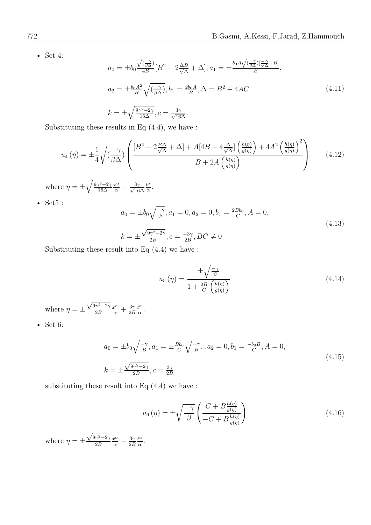• Set 4:

$$
a_0 = \pm b_0 \frac{\sqrt{\left(\frac{-\gamma}{\beta \Delta}\right)}}{4B} [B^2 - 2\frac{\Delta B}{\sqrt{\Delta}} + \Delta], a_1 = \pm \frac{b_0 A \sqrt{\left(\frac{-\gamma}{\beta \Delta}\right)} \left[\frac{-\Delta}{\sqrt{\Delta}} + B\right]}{B},
$$
  
\n
$$
a_2 = \pm \frac{b_0 A^2}{B} \sqrt{\left(\frac{-\gamma}{\beta \Delta}\right)}, b_1 = \frac{2b_0 A}{B}, \Delta = B^2 - 4AC,
$$
  
\n
$$
k = \pm \sqrt{\frac{9\gamma^2 - 2\gamma}{16\Delta}}, c = \frac{3\gamma}{\sqrt{16\Delta}}.
$$
\n(4.11)

Substituting these results in Eq (4.4), we have :

$$
u_4(\eta) = \pm \frac{1}{4} \sqrt{\left(\frac{-\gamma}{\beta \Delta}\right)} \left( \frac{\left[B^2 - 2\frac{B\Delta}{\sqrt{\Delta}} + \Delta\right] + A[4B - 4\frac{\Delta}{\sqrt{\Delta}}] \left(\frac{h(\eta)}{g(\eta)}\right) + 4A^2 \left(\frac{h(\eta)}{g(\eta)}\right)^2}{B + 2A \left(\frac{h(\eta)}{g(\eta)}\right)} \right) \tag{4.12}
$$

where  $\eta = \pm \sqrt{\frac{9\gamma^2 - 2\gamma}{16\Delta}}$ *α α –*  $\frac{3\gamma}{\sqrt{16\Delta}}$ *t α*  $rac{t^{\alpha}}{\alpha}$ .

• Set5 :

$$
a_0 = \pm b_0 \sqrt{\frac{-\gamma}{\beta}}, a_1 = 0, a_2 = 0, b_1 = \frac{2Bb_0}{C}, A = 0,
$$
  
\n
$$
k = \pm \frac{\sqrt{9\gamma^2 - 2\gamma}}{2B}, c = \frac{-3\gamma}{2B}, BC \neq 0
$$
\n(4.13)

Substituting these result into Eq (4.4) we have :

$$
u_5(\eta) = \frac{\pm \sqrt{\frac{-\gamma}{\beta}}}{1 + \frac{2B}{C} \left(\frac{h(\eta)}{g(\eta)}\right)}
$$
(4.14)

where  $\eta = \pm$  $\sqrt{9\gamma^2-2\gamma}$ 2*B*  $\frac{x^{\alpha}}{\alpha} + \frac{3\gamma}{2E}$ 2*B t α*  $rac{t^{\alpha}}{\alpha}$ .

• Set 6:

$$
a_0 = \pm b_0 \sqrt{\frac{-\gamma}{B}}, a_1 = \pm \frac{Bb_0}{C} \sqrt{\frac{-\gamma}{B}}, a_2 = 0, b_1 = \frac{-b_0 B}{C}, A = 0,
$$
  
\n
$$
k = \pm \frac{\sqrt{9\gamma^2 - 2\gamma}}{2B}, c = \frac{3\gamma}{2B}.
$$
\n(4.15)

substituting these result into Eq  $(4.4)$  we have :

$$
u_6(\eta) = \pm \sqrt{\frac{-\gamma}{\beta}} \left( \frac{C + B \frac{h(\eta)}{g(\eta)}}{-C + B \frac{h(\eta)}{g(\eta)}} \right)
$$
(4.16)

where  $\eta = \pm$  $\sqrt{9\gamma^2-2\gamma}$ 2*B*  $\frac{x^{\alpha}}{\alpha} - \frac{3\gamma}{2E}$ 2*B t α α .*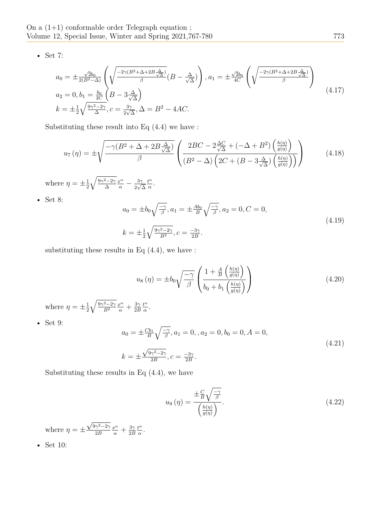• Set 7:

$$
a_0 = \pm \frac{\sqrt{2}b_0}{2(B^2 - \Delta)} \left( \sqrt{\frac{-2\gamma (B^2 + \Delta + 2B \frac{\Delta}{\sqrt{\Delta}})}{\beta}} (B - \frac{\Delta}{\sqrt{\Delta}}) \right), a_1 = \pm \frac{\sqrt{2}b_0}{4C} \left( \sqrt{\frac{-2\gamma (B^2 + \Delta + 2B \frac{\Delta}{\sqrt{\Delta}})}{\beta}} \right)
$$
  
\n
$$
a_2 = 0, b_1 = \frac{b_0}{2C} \left( B - 3 \frac{\Delta}{\sqrt{\Delta}} \right)
$$
  
\n
$$
k = \pm \frac{1}{2} \sqrt{\frac{9\gamma^2 - 2\gamma}{\Delta}}, c = \frac{3\gamma}{2\sqrt{\Delta}}, \Delta = B^2 - 4AC.
$$
\n(4.17)

Substituting these result into Eq (4.4) we have :

$$
u_7(\eta) = \pm \sqrt{\frac{-\gamma (B^2 + \Delta + 2B\frac{\Delta}{\sqrt{\Delta}})}{\beta}} \left( \frac{2BC - 2\frac{\Delta C}{\sqrt{\Delta}} + (-\Delta + B^2) \left( \frac{h(\eta)}{g(\eta)} \right)}{(B^2 - \Delta) \left( 2C + (B - 3\frac{\Delta}{\sqrt{\Delta}}) \left( \frac{h(\eta)}{g(\eta)} \right) \right)} \right)
$$
(4.18)

where  $\eta = \pm \frac{1}{2}$ 2  $\sqrt{\frac{9\gamma^2-2\gamma}{\Delta}}$  $\frac{x^{\alpha}}{\alpha} - \frac{3\gamma}{2\sqrt{2}}$ 2 *√* ∆ *t α*  $\frac{t^{\alpha}}{\alpha}$ .

• Set 8:

$$
a_0 = \pm b_0 \sqrt{\frac{-\gamma}{\beta}}, a_1 = \pm \frac{Ab_0}{B} \sqrt{\frac{-\gamma}{\beta}}, a_2 = 0, C = 0,
$$
  
\n
$$
k = \pm \frac{1}{2} \sqrt{\frac{9\gamma^2 - 2\gamma}{B^2}}, c = \frac{-3\gamma}{2B}.
$$
\n(4.19)

substituting these results in Eq  $(4.4)$ , we have :

$$
u_8(\eta) = \pm b_0 \sqrt{\frac{-\gamma}{\beta}} \left( \frac{1 + \frac{A}{B} \left( \frac{h(\eta)}{g(\eta)} \right)}{b_0 + b_1 \left( \frac{h(\eta)}{g(\eta)} \right)} \right)
$$
(4.20)

where  $\eta = \pm \frac{1}{2}$ 2  $\sqrt{\frac{9\gamma^2-2\gamma}{B^2}}$  $\frac{x^{\alpha}}{\alpha} + \frac{3\gamma}{2E}$ 2*B t α*  $rac{t^{\alpha}}{\alpha}$ .

• Set 9:

$$
a_0 = \pm \frac{Cb_1}{B} \sqrt{\frac{-\gamma}{\beta}}, a_1 = 0, a_2 = 0, b_0 = 0, A = 0,
$$
  
\n
$$
k = \pm \frac{\sqrt{9\gamma^2 - 2\gamma}}{2B}, c = \frac{-3\gamma}{2B}.
$$
\n(4.21)

Substituting these results in Eq  $(4.4)$ , we have

$$
u_9(\eta) = \frac{\pm \frac{C}{B} \sqrt{\frac{-\gamma}{\beta}}}{\left(\frac{h(\eta)}{g(\eta)}\right)}.
$$
\n(4.22)

where  $\eta = \pm$  $\sqrt{9\gamma^2-2\gamma}$ 2*B*  $\frac{x^{\alpha}}{\alpha} + \frac{3\gamma}{2E}$ 2*B t α*  $rac{t^{\alpha}}{\alpha}$ .

• Set 10: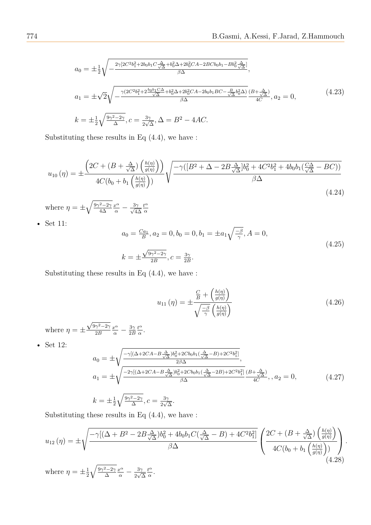$$
a_0 = \pm \frac{1}{2} \sqrt{-\frac{2\gamma [2C^2 b_1^2 + 2b_0 b_1 C \frac{\Delta}{\sqrt{\Delta}} + b_0^2 \Delta + 2b_0^2 C A - 2BC b_0 b_1 - B b_0^2 \frac{\Delta}{\sqrt{\Delta}}]}{\beta \Delta}},
$$
  
\n
$$
a_1 = \pm \sqrt{2} \sqrt{-\frac{\gamma (2C^2 b_1^2 + 2 \frac{b_0 b_1 C \Delta}{\sqrt{\Delta}} + b_0^2 \Delta + 2b_0^2 C A - 2b_0 b_1 BC - \frac{B}{\sqrt{\Delta}} b_0^2 \Delta)}{\beta \Delta}} \frac{(B + \frac{\Delta}{\sqrt{\Delta}})}{4C}, a_2 = 0,
$$
\n
$$
k = \pm \frac{1}{2} \sqrt{\frac{9\gamma^2 - 2\gamma}{\Delta}}, c = \frac{3\gamma}{2\sqrt{\Delta}}, \Delta = B^2 - 4AC.
$$
\n
$$
(4.23)
$$

Substituting these results in Eq (4.4), we have :

$$
u_{10}(\eta) = \pm \frac{\left(2C + \left(B + \frac{\Delta}{\sqrt{\Delta}}\right)\left(\frac{h(\eta)}{g(\eta)}\right)\right)}{4C(b_0 + b_1)\left(\frac{h(\eta)}{g(\eta)}\right)} \sqrt{\frac{-\gamma\left([B^2 + \Delta - 2B\frac{\Delta}{\sqrt{\Delta}}]b_0^2 + 4C^2b_1^2 + 4b_0b_1\left(\frac{C\Delta}{\sqrt{\Delta}} - BC\right)\right)}{\beta\Delta}}
$$
\n(4.24)

where  $\eta = \pm \sqrt{\frac{9\gamma^2 - 2\gamma}{4\Delta}}$ *α α α –*  $\frac{3\gamma}{\sqrt{4\Delta}}$ *t α α*

• Set 11:

$$
a_0 = \frac{Ca_1}{B}, a_2 = 0, b_0 = 0, b_1 = \pm a_1 \sqrt{\frac{-\beta}{\gamma}}, A = 0,
$$
  
\n
$$
k = \pm \frac{\sqrt{9\gamma^2 - 2\gamma}}{2B}, c = \frac{3\gamma}{2B}.
$$
\n(4.25)

Substituting these results in Eq (4.4), we have :

$$
u_{11}(\eta) = \pm \frac{\frac{C}{B} + \left(\frac{h(\eta)}{g(\eta)}\right)}{\sqrt{\frac{-\beta}{\gamma} \left(\frac{h(\eta)}{g(\eta)}\right)}}
$$
(4.26)

where  $\eta = \pm$  $\sqrt{9\gamma^2-2\gamma}$ 2*B*  $\frac{x^{\alpha}}{\alpha} - \frac{3\gamma}{2E}$ 2*B t α α .*

• Set 12:

$$
a_0 = \pm \sqrt{\frac{-\gamma [(\Delta + 2CA - B \frac{\Delta}{\sqrt{\Delta}})b_0^2 + 2Cb_0b_1(\frac{\Delta}{\sqrt{\Delta}} - B) + 2C^2b_1^2]}{2\beta \Delta}},
$$
  
\n
$$
a_1 = \pm \sqrt{\frac{-2\gamma [(\Delta + 2CA - B \frac{\Delta}{\sqrt{\Delta}})b_0^2 + 2Cb_0b_1(\frac{\Delta}{\sqrt{\Delta}} - 2B) + 2C^2b_1^2]}{4C}}, a_2 = 0,
$$
\n(4.27)

$$
k = \pm \frac{1}{2} \sqrt{\frac{9\gamma^2 - 2\gamma}{\Delta}}, c = \frac{3\gamma}{2\sqrt{\Delta}}.
$$

Substituting these results in Eq  $(4.4)$ , we have :

$$
u_{12}(\eta) = \pm \sqrt{\frac{-\gamma [(\Delta + B^2 - 2B\frac{\Delta}{\sqrt{\Delta}})b_0^2 + 4b_0b_1C(\frac{\Delta}{\sqrt{\Delta}} - B) + 4C^2b_1^2]}{\beta\Delta}} \begin{pmatrix} 2C + (B + \frac{\Delta}{\sqrt{\Delta}}) \left(\frac{h(\eta)}{g(\eta)}\right) \\ 4C(b_0 + b_1 \left(\frac{h(\eta)}{g(\eta)}\right)) \end{pmatrix}.
$$
\n(4.28)

where  $\eta = \pm \frac{1}{2}$ 2  $\sqrt{\frac{9\gamma^2-2\gamma}{\Delta}}$  $\frac{x^{\alpha}}{\alpha} - \frac{3\gamma}{2\sqrt{2}}$ 2 *√* ∆ *t α α .*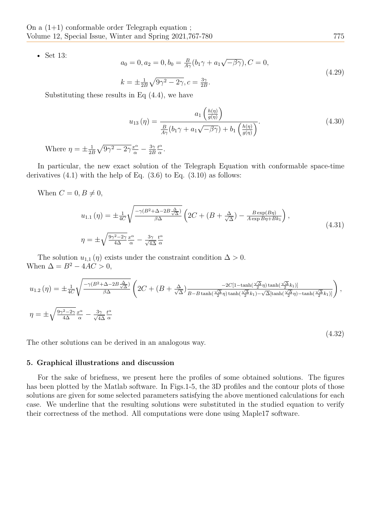• Set 13:

$$
a_0 = 0, a_2 = 0, b_0 = \frac{B}{A\gamma}(b_1\gamma + a_1\sqrt{-\beta\gamma}), C = 0,
$$
  
\n
$$
k = \pm \frac{1}{2B}\sqrt{9\gamma^2 - 2\gamma}, c = \frac{3\gamma}{2B}.
$$
\n(4.29)

Substituting these results in Eq (4.4), we have

$$
u_{13}(\eta) = \frac{a_1 \left(\frac{h(\eta)}{g(\eta)}\right)}{\frac{B}{A\gamma}(b_1\gamma + a_1\sqrt{-\beta\gamma}) + b_1\left(\frac{h(\eta)}{g(\eta)}\right)}.
$$
(4.30)

Where  $\eta = \pm \frac{1}{2R}$  $\frac{1}{2B}\sqrt{9\gamma^2-2\gamma}\frac{x^{\alpha}}{\alpha}-\frac{3\gamma}{2E}$ 2*B t α*  $rac{t^{\alpha}}{\alpha}$ .

In particular, the new exact solution of the Telegraph Equation with conformable space-time derivatives  $(4.1)$  with the help of Eq.  $(3.6)$  to Eq.  $(3.10)$  as follows:

When  $C = 0, B \neq 0$ ,

$$
u_{1.1}(\eta) = \pm \frac{1}{4C} \sqrt{\frac{-\gamma (B^2 + \Delta - 2B \frac{\Delta}{\sqrt{\Delta}})}{\beta \Delta}} \left( 2C + (B + \frac{\Delta}{\sqrt{\Delta}}) - \frac{B \exp(B\eta)}{A \exp B\eta + Bk_1} \right),
$$
  

$$
\eta = \pm \sqrt{\frac{9\gamma^2 - 2\gamma}{4\Delta} \frac{x^{\alpha}}{\alpha}} - \frac{3\gamma}{\sqrt{4\Delta}} \frac{t^{\alpha}}{\alpha}
$$
 (4.31)

The solution  $u_{1,1}(\eta)$  exists under the constraint condition  $\Delta > 0$ . When  $\Delta = B^2 - 4AC > 0$ ,

$$
u_{1.2}(\eta) = \pm \frac{1}{4C} \sqrt{\frac{-\gamma (B^2 + \Delta - 2B \frac{\Delta}{\sqrt{\Delta}})}{\beta \Delta}} \left( 2C + (B + \frac{\Delta}{\sqrt{\Delta}}) \frac{-2C[1 - \tanh(\frac{\sqrt{\Delta}}{2}\eta) \tanh(\frac{\sqrt{\Delta}}{2}k_1)]}{B - B \tanh(\frac{\sqrt{\Delta}}{2}\eta) \tanh(\frac{\sqrt{\Delta}}{2}k_1) - \sqrt{\Delta}[\tanh(\frac{\sqrt{\Delta}}{2}\eta) - \tanh(\frac{\sqrt{\Delta}}{2}k_1)]} \right),
$$
  

$$
\eta = \pm \sqrt{\frac{9\gamma^2 - 2\gamma}{4\Delta} \frac{x^{\alpha}}{\alpha} - \frac{3\gamma}{\sqrt{4\Delta}} \frac{t^{\alpha}}{\alpha}}
$$

The other solutions can be derived in an analogous way.

## **5. Graphical illustrations and discussion**

For the sake of briefness, we present here the profiles of some obtained solutions. The figures has been plotted by the Matlab software. In Figs.1-5, the 3D profiles and the contour plots of those solutions are given for some selected parameters satisfying the above mentioned calculations for each case. We underline that the resulting solutions were substituted in the studied equation to verify their correctness of the method. All computations were done using Maple17 software.

(4.32)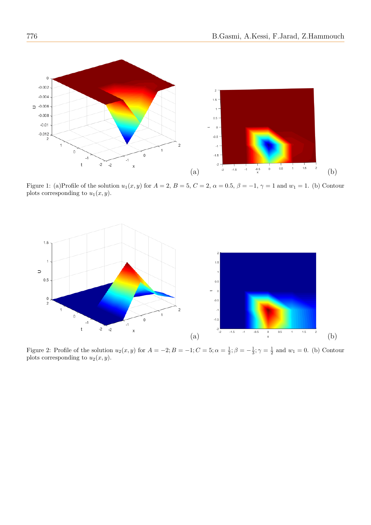

Figure 1: (a)Profile of the solution  $u_1(x, y)$  for  $A = 2$ ,  $B = 5$ ,  $C = 2$ ,  $\alpha = 0.5$ ,  $\beta = -1$ ,  $\gamma = 1$  and  $w_1 = 1$ . (b) Contour plots corresponding to  $u_1(x, y)$ .



Figure 2: Profile of the solution  $u_2(x, y)$  for  $A = -2$ ;  $B = -1$ ;  $C = 5$ ;  $\alpha = \frac{1}{2}$ ;  $\beta = -\frac{1}{3}$ ;  $\gamma = \frac{1}{2}$  and  $w_1 = 0$ . (b) Contour plots corresponding to  $u_2(x, y)$ .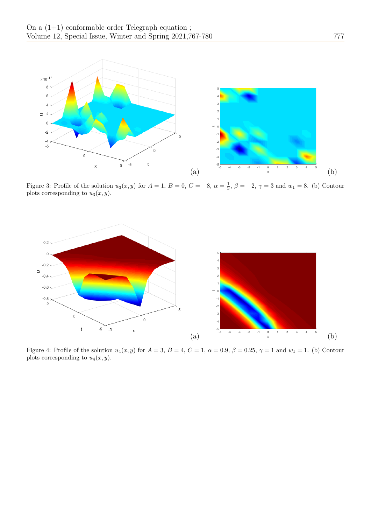

Figure 3: Profile of the solution  $u_3(x, y)$  for  $A = 1$ ,  $B = 0$ ,  $C = -8$ ,  $\alpha = \frac{1}{3}$ ,  $\beta = -2$ ,  $\gamma = 3$  and  $w_1 = 8$ . (b) Contour plots corresponding to  $u_3(x, y)$ .



Figure 4: Profile of the solution  $u_4(x, y)$  for  $A = 3$ ,  $B = 4$ ,  $C = 1$ ,  $\alpha = 0.9$ ,  $\beta = 0.25$ ,  $\gamma = 1$  and  $w_1 = 1$ . (b) Contour plots corresponding to  $u_4(x, y)$ .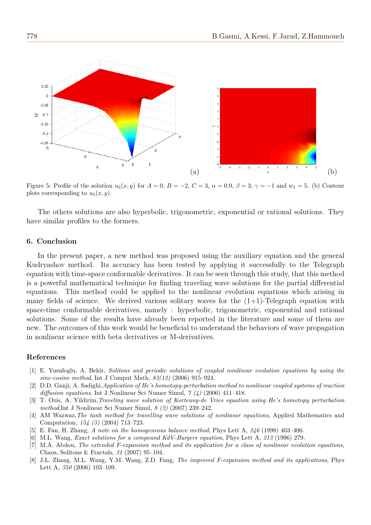

Figure 5: Profile of the solution  $u_5(x, y)$  for  $A = 0$ ,  $B = -2$ ,  $C = 3$ ,  $\alpha = 0.9$ ,  $\beta = 3$ ,  $\gamma = -1$  and  $w_1 = 5$ . (b) Contour plots corresponding to  $u_5(x, y)$ .

The others solutions are also hyperbolic, trigonometric, exponential or rational solutions. They have similar profiles to the formers.

### **6. Conclusion**

In the present paper, a new method was proposed using the auxiliary equation and the general Kudryashov method. Its accuracy has been tested by applying it successfully to the Telegraph equation with time-space conformable derivatives. It can be seen through this study, that this method is a powerful mathematical technique for finding traveling wave solutions for the partial differential equations. This method could be applied to the nonlinear evolution equations which arising in many fields of science. We derived various solitary waves for the  $(1+1)$ -Telegraph equation with space-time conformable derivatives, namely : hyperbolic, trigonometric, exponential and rational solutions. Some of the results have already been reported in the literature and some of them are new. The outcomes of this work would be beneficial to understand the behaviors of wave propagation in nonlinear science with beta derivatives or M-derivatives.

#### **References**

- <span id="page-11-0"></span>[1] E. Yusufoglu, A. Bekir, *Solitons and periodic solutions of coupled nonlinear evolution equations by using the sine-cosine method*, Int J Comput Math, *83(12)* (2006) 915–924.
- <span id="page-11-1"></span>[2] D.D. Ganji, A. Sadighi,*Application of He's homotopy-perturbation method to nonlinear coupled systems of reaction diffusion equations*, Int J Nonlinear Sci Numer Simul, *7 (4)* (2006) 411–418.
- <span id="page-11-2"></span>[3] T. Ozis, A. Yildirim,*Traveling wave solution of Korteweg-de Vries equation using He's homotopy perturbation method*,Int J Nonlinear Sci Numer Simul, *8 (2)* (2007) 239–242.
- <span id="page-11-3"></span>[4] AM Wazwaz,*The tanh method for travelling wave solutions of nonlinear equations*, Applied Mathematics and Computation, *154 (3)* (2004) 713–723.
- <span id="page-11-4"></span>[5] E. Fan, H. Zhang, *A note on the homogeneous balance method*, Phys Lett A, *246* (1998) 403–406.
- <span id="page-11-5"></span>[6] M.L. Wang, *Exact solutions for a compound KdV-Burgers equation*, Phys Lett A, *213* (1996) 279.
- <span id="page-11-6"></span>[7] M.A. Abdou, *The extended F-expansion method and its application for a class of nonlinear evolution equations*, Chaos, Solitons & Fractals, *31* (2007) 95–104.
- <span id="page-11-7"></span>[8] J.L. Zhang, M.L. Wang, Y.M. Wang, Z.D. Fang, *The improved F-expansion method and its applications*, Phys Lett A, *350* (2006) 103–109.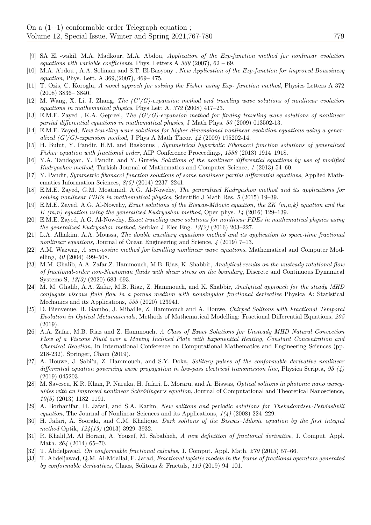- <span id="page-12-0"></span>[9] SA El -wakil, M.A. Madkour, M.A. Abdou, *Application of the Exp-function method for nonlinear evolution equations vith variable coefficients*, Phys. Letters A *369* (2007), 62 – 69.
- <span id="page-12-1"></span>[10] M.A. Abdou , A.A. Soliman and S.T. El-Basyony , *New Application of the Exp-function for improved Boussinesq equation*, Phys. Lett. A 369,(2007), 469– 475.
- <span id="page-12-2"></span>[11] T. Ozis, C. Koroglu, *A novel approch for solving the Fisher using Exp- function method*, Physics Letters A 372 (2008) 3836– 3840.
- <span id="page-12-3"></span>[12] M. Wang, X. Li, J. Zhang, *The (G'/G)-expansion method and traveling wave solutions of nonlinear evolution equations in mathematical physics*, Phys Lett A. *372* (2008) 417–23.
- <span id="page-12-4"></span>[13] E.M.E. Zayed , K.A. Gepreel, *The (G'/G)-expansion method for finding traveling wave solutions of nonlinear partial differential equations in mathematical physics*, J Math Phys. *50* (2009) 013502-13.
- <span id="page-12-5"></span>[14] E.M.E. Zayed, *New traveling wave solutions for higher dimensional nonlinear evolution equations using a generalized (G'/G)-expansion method*, J Phys A Math Theor. *42* (2009) 195202-14.
- <span id="page-12-6"></span>[15] H. Bulut, Y. Pandir, H.M. and Baskonus , *Symmetrical hyperbolic Fibonacci function solutions of generalized Fisher equation with fractional order*, AIP Conference Proceedings, *1558* (2013) 1914–1918.
- <span id="page-12-7"></span>[16] Y.A. Tandogan, Y. Pandir, and Y. Gurefe, *Solutions of the nonlinear differential equations by use of modified Kudryashov method*, Turkish Journal of Mathematics and Computer Science, *1* (2013) 54–60.
- <span id="page-12-8"></span>[17] Y. Pandir, *Symmetric fibonacci function solutions of some nonlinear partial differential equations*, Applied Mathematics Information Sciences, *8(5)* (2014) 2237–2241.
- <span id="page-12-9"></span>[18] E.M.E. Zayed, G.M. Moatimid, A.G. Al-Nowehy, *The generalized Kudryashov method and its applications for solving nonlinear PDEs in mathematical physics*, Scientific J Math Res. *5* (2015) 19–39.
- <span id="page-12-10"></span>[19] E.M.E. Zayed, A.G. Al-Nowehy, *Exact solutions of the Biswas-Milovic equation, the ZK (m,n,k) equation and the K (m,n) equation using the generalized Kudryashov method*, Open phys. *14* (2016) 129–139.
- <span id="page-12-11"></span>[20] E.M.E. Zayed, A.G. Al-Nowehy, *Exact traveling wave solutions for nonlinear PDEs in mathematical physics using the generalized Kudryashov method*, Serbian J Elec Eng. *13(2)* (2016) 203–227.
- <span id="page-12-12"></span>[21] L.A. Alhakim, A.A. Moussa, *The double auxiliary equations method and its application to space-time fractional nonlinear equations*, Journal of Ocean Engineering and Science, *4* (2019) 7–13.
- <span id="page-12-13"></span>[22] A.M. Wazwaz, *A sine-cosine method for handling nonlinear wave equations*, Mathematical and Computer Modelling, *40* (2004) 499–508.
- <span id="page-12-14"></span>[23] M.M. Ghalib, A.A. Zafar,Z. Hammouch, M.B. Riaz, K. Shabbir, *Analytical results on the unsteady rotational flow of fractional-order non-Newtonian fluids with shear stress on the boundary*, Discrete and Continuous Dynamical Systems-S, *13(3)* (2020) 683–693.
- <span id="page-12-15"></span>[24] M. M. Ghalib, A.A. Zafar, M.B. Riaz, Z. Hammouch, and K. Shabbir, *Analytical approach for the steady MHD conjugate viscous fluid flow in a porous medium with nonsingular fractional derivative* Physica A: Statistical Mechanics and its Applications, *555* (2020) 123941.
- <span id="page-12-16"></span>[25] D. Bienvenue, B. Gambo, J. Mibaille, Z. Hammouch and A. Houwe, *Chirped Solitons with Fractional Temporal Evolution in Optical Metamaterials*, Methods of Mathematical Modelling: Fractional Differential Equations, *205* (2019).
- <span id="page-12-17"></span>[26] A.A. Zafar, M.B. Riaz and Z. Hammouch, *A Class of Exact Solutions for Unsteady MHD Natural Convection Flow of a Viscous Fluid over a Moving Inclined Plate with Exponential Heating, Constant Concentration and Chemical Reaction*, In International Conference on Computational Mathematics and Engineering Sciences (pp. 218-232). Springer, Cham (2019).
- <span id="page-12-18"></span>[27] A. Houwe, J. Sabi'u, Z. Hammouch, and S.Y. Doka, *Solitary pulses of the conformable derivative nonlinear differential equation governing wave propagation in low-pass electrical transmission line*, Physica Scripta, *95 (4)* (2019) 045203.
- <span id="page-12-19"></span>[28] M. Savescu, K.R. Khan, P. Naruka, H. Jafari, L. Moraru, and A. Biswas, *Optical solitons in photonic nano waveguides with an improved nonlinear Schrödinger's equation*, Journal of Computational and Theoretical Nanoscience, *10(5)* (2013) 1182–1191.
- <span id="page-12-20"></span>[29] A. Borhanifar, H. Jafari, and S.A. Karim, *New solitons and periodic solutions for Thekadomtsev-Petviashvili equation*, The Journal of Nonlinear Sciences and its Applications, *1(4)* (2008) 224–229.
- <span id="page-12-21"></span>[30] H. Jafari, A. Sooraki, and C.M. Khalique, *Dark solitons of the Biswas–Milovic equation by the first integral method* Optik, *124(19)* (2013) 3929–3932.
- <span id="page-12-22"></span>[31] R. Khalil,M. Al Horani, A. Yousef, M. Sababheh, *A new definition of fractional derivative*, J. Comput. Appl. Math. *264* (2014) 65–70.
- <span id="page-12-24"></span><span id="page-12-23"></span>[32] T. Abdeljawad, *On conformable fractional calculus*, J. Comput. Appl. Math. *279* (2015) 57–66.
- [33] T. Abdeljawad, Q.M. Al-Mdallal, F. Jarad, *Fractional logistic models in the frame of fractional operators generated by conformable derivatives*, Chaos, Solitons & Fractals, *119* (2019) 94–101.